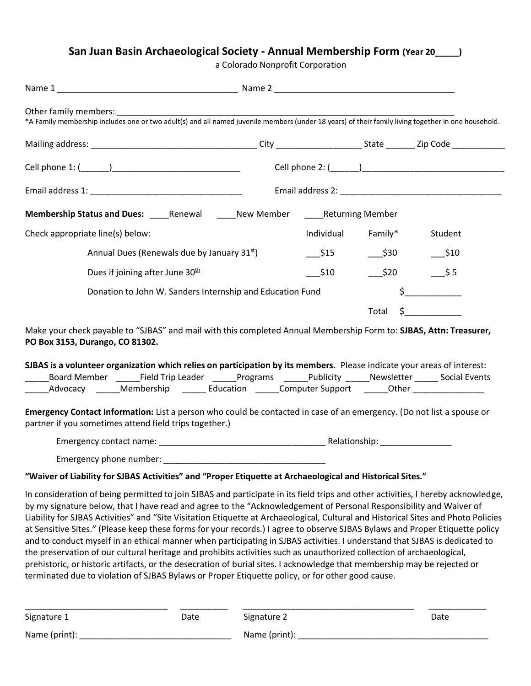## **San Juan Basin Archaeological Society - Annual Membership Form (Year 20\_\_\_\_\_)**

a Colorado Nonprofit Corporation

| *A Family membership includes one or two adult(s) and all named juvenile members (under 18 years) of their family living together in one household.                                                                                                                                                                                                                                                                                                                                                                                                                                                                                                                                                                                                                                                                                                                                                                                                                                                                 |                    |                    |          |  |  |  |  |
|---------------------------------------------------------------------------------------------------------------------------------------------------------------------------------------------------------------------------------------------------------------------------------------------------------------------------------------------------------------------------------------------------------------------------------------------------------------------------------------------------------------------------------------------------------------------------------------------------------------------------------------------------------------------------------------------------------------------------------------------------------------------------------------------------------------------------------------------------------------------------------------------------------------------------------------------------------------------------------------------------------------------|--------------------|--------------------|----------|--|--|--|--|
|                                                                                                                                                                                                                                                                                                                                                                                                                                                                                                                                                                                                                                                                                                                                                                                                                                                                                                                                                                                                                     |                    |                    |          |  |  |  |  |
|                                                                                                                                                                                                                                                                                                                                                                                                                                                                                                                                                                                                                                                                                                                                                                                                                                                                                                                                                                                                                     |                    |                    |          |  |  |  |  |
|                                                                                                                                                                                                                                                                                                                                                                                                                                                                                                                                                                                                                                                                                                                                                                                                                                                                                                                                                                                                                     |                    |                    |          |  |  |  |  |
| Membership Status and Dues: _____Renewal ______New Member ______Returning Member                                                                                                                                                                                                                                                                                                                                                                                                                                                                                                                                                                                                                                                                                                                                                                                                                                                                                                                                    |                    |                    |          |  |  |  |  |
| Check appropriate line(s) below:                                                                                                                                                                                                                                                                                                                                                                                                                                                                                                                                                                                                                                                                                                                                                                                                                                                                                                                                                                                    | Individual Family* |                    | Student  |  |  |  |  |
| Annual Dues (Renewals due by January 31 <sup>st</sup> )                                                                                                                                                                                                                                                                                                                                                                                                                                                                                                                                                                                                                                                                                                                                                                                                                                                                                                                                                             | \$15               | $-$ \$30           | $-$ \$10 |  |  |  |  |
| Dues if joining after June 30 <sup>th</sup>                                                                                                                                                                                                                                                                                                                                                                                                                                                                                                                                                                                                                                                                                                                                                                                                                                                                                                                                                                         | \$10               | $\frac{\$20}{\$5}$ |          |  |  |  |  |
| Donation to John W. Sanders Internship and Education Fund                                                                                                                                                                                                                                                                                                                                                                                                                                                                                                                                                                                                                                                                                                                                                                                                                                                                                                                                                           |                    |                    | $\sharp$ |  |  |  |  |
|                                                                                                                                                                                                                                                                                                                                                                                                                                                                                                                                                                                                                                                                                                                                                                                                                                                                                                                                                                                                                     |                    | Total              | $\zeta$  |  |  |  |  |
| Make your check payable to "SJBAS" and mail with this completed Annual Membership Form to: SJBAS, Attn: Treasurer,<br>PO Box 3153, Durango, CO 81302.                                                                                                                                                                                                                                                                                                                                                                                                                                                                                                                                                                                                                                                                                                                                                                                                                                                               |                    |                    |          |  |  |  |  |
| SJBAS is a volunteer organization which relies on participation by its members. Please indicate your areas of interest:<br>Board Member ______Field Trip Leader ______Programs ______Publicity ______Newsletter ______ Social Events                                                                                                                                                                                                                                                                                                                                                                                                                                                                                                                                                                                                                                                                                                                                                                                |                    |                    |          |  |  |  |  |
| _Advocacy _______Membership ________Education _______Computer Support ________Other ________________                                                                                                                                                                                                                                                                                                                                                                                                                                                                                                                                                                                                                                                                                                                                                                                                                                                                                                                |                    |                    |          |  |  |  |  |
| Emergency Contact Information: List a person who could be contacted in case of an emergency. (Do not list a spouse or<br>partner if you sometimes attend field trips together.)                                                                                                                                                                                                                                                                                                                                                                                                                                                                                                                                                                                                                                                                                                                                                                                                                                     |                    |                    |          |  |  |  |  |
|                                                                                                                                                                                                                                                                                                                                                                                                                                                                                                                                                                                                                                                                                                                                                                                                                                                                                                                                                                                                                     |                    |                    |          |  |  |  |  |
|                                                                                                                                                                                                                                                                                                                                                                                                                                                                                                                                                                                                                                                                                                                                                                                                                                                                                                                                                                                                                     |                    |                    |          |  |  |  |  |
| "Waiver of Liability for SJBAS Activities" and "Proper Etiquette at Archaeological and Historical Sites."                                                                                                                                                                                                                                                                                                                                                                                                                                                                                                                                                                                                                                                                                                                                                                                                                                                                                                           |                    |                    |          |  |  |  |  |
| In consideration of being permitted to join SJBAS and participate in its field trips and other activities, I hereby acknowledge,<br>by my signature below, that I have read and agree to the "Acknowledgement of Personal Responsibility and Waiver of<br>Liability for SJBAS Activities" and "Site Visitation Etiquette at Archaeological, Cultural and Historical Sites and Photo Policies<br>at Sensitive Sites." (Please keep these forms for your records.) I agree to observe SJBAS Bylaws and Proper Etiquette policy<br>and to conduct myself in an ethical manner when participating in SJBAS activities. I understand that SJBAS is dedicated to<br>the preservation of our cultural heritage and prohibits activities such as unauthorized collection of archaeological,<br>prehistoric, or historic artifacts, or the desecration of burial sites. I acknowledge that membership may be rejected or<br>terminated due to violation of SJBAS Bylaws or Proper Etiquette policy, or for other good cause. |                    |                    |          |  |  |  |  |

| Signature 1       | Date | Signature 2   | Date |
|-------------------|------|---------------|------|
| Name ( $print$ ): |      | Name (print): |      |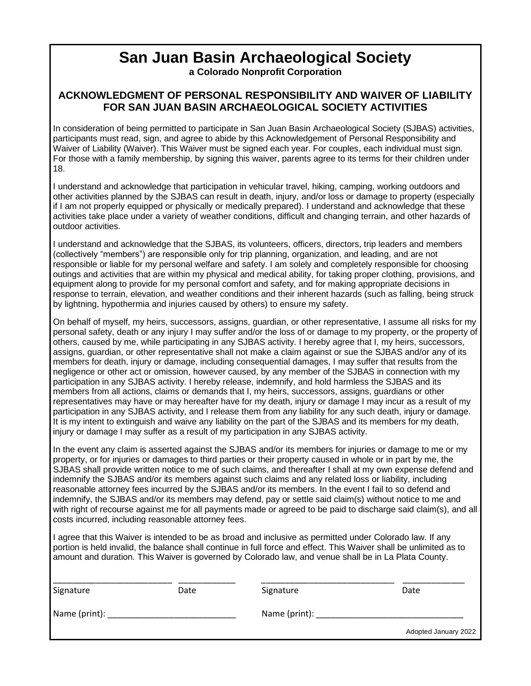# **San Juan Basin Archaeological Society**

**a Colorado Nonprofit Corporation**

### **ACKNOWLEDGMENT OF PERSONAL RESPONSIBILITY AND WAIVER OF LIABILITY FOR SAN JUAN BASIN ARCHAEOLOGICAL SOCIETY ACTIVITIES**

In consideration of being permitted to participate in San Juan Basin Archaeological Society (SJBAS) activities, participants must read, sign, and agree to abide by this Acknowledgement of Personal Responsibility and Waiver of Liability (Waiver). This Waiver must be signed each year. For couples, each individual must sign. For those with a family membership, by signing this waiver, parents agree to its terms for their children under 18.

I understand and acknowledge that participation in vehicular travel, hiking, camping, working outdoors and other activities planned by the SJBAS can result in death, injury, and/or loss or damage to property (especially if I am not properly equipped or physically or medically prepared). I understand and acknowledge that these activities take place under a variety of weather conditions, difficult and changing terrain, and other hazards of outdoor activities.

I understand and acknowledge that the SJBAS, its volunteers, officers, directors, trip leaders and members (collectively "members") are responsible only for trip planning, organization, and leading, and are not responsible or liable for my personal welfare and safety. I am solely and completely responsible for choosing outings and activities that are within my physical and medical ability, for taking proper clothing, provisions, and equipment along to provide for my personal comfort and safety, and for making appropriate decisions in response to terrain, elevation, and weather conditions and their inherent hazards (such as falling, being struck by lightning, hypothermia and injuries caused by others) to ensure my safety.

On behalf of myself, my heirs, successors, assigns, guardian, or other representative, I assume all risks for my personal safety, death or any injury I may suffer and/or the loss of or damage to my property, or the property of others, caused by me, while participating in any SJBAS activity. I hereby agree that I, my heirs, successors, assigns, guardian, or other representative shall not make a claim against or sue the SJBAS and/or any of its members for death, injury or damage, including consequential damages, I may suffer that results from the negligence or other act or omission, however caused, by any member of the SJBAS in connection with my participation in any SJBAS activity. I hereby release, indemnify, and hold harmless the SJBAS and its members from all actions, claims or demands that I, my heirs, successors, assigns, guardians or other representatives may have or may hereafter have for my death, injury or damage I may incur as a result of my participation in any SJBAS activity, and I release them from any liability for any such death, injury or damage. It is my intent to extinguish and waive any liability on the part of the SJBAS and its members for my death, injury or damage I may suffer as a result of my participation in any SJBAS activity.

In the event any claim is asserted against the SJBAS and/or its members for injuries or damage to me or my property, or for injuries or damages to third parties or their property caused in whole or in part by me, the SJBAS shall provide written notice to me of such claims, and thereafter I shall at my own expense defend and indemnify the SJBAS and/or its members against such claims and any related loss or liability, including reasonable attorney fees incurred by the SJBAS and/or its members. In the event I fail to so defend and indemnify, the SJBAS and/or its members may defend, pay or settle said claim(s) without notice to me and with right of recourse against me for all payments made or agreed to be paid to discharge said claim(s), and all costs incurred, including reasonable attorney fees.

I agree that this Waiver is intended to be as broad and inclusive as permitted under Colorado law. If any portion is held invalid, the balance shall continue in full force and effect. This Waiver shall be unlimited as to amount and duration. This Waiver is governed by Colorado law, and venue shall be in La Plata County.

| Signature     | Date | Signature                              | Date                 |
|---------------|------|----------------------------------------|----------------------|
| Name (print): |      | Name (print): $\overline{\phantom{a}}$ |                      |
|               |      |                                        | Adopted January 2022 |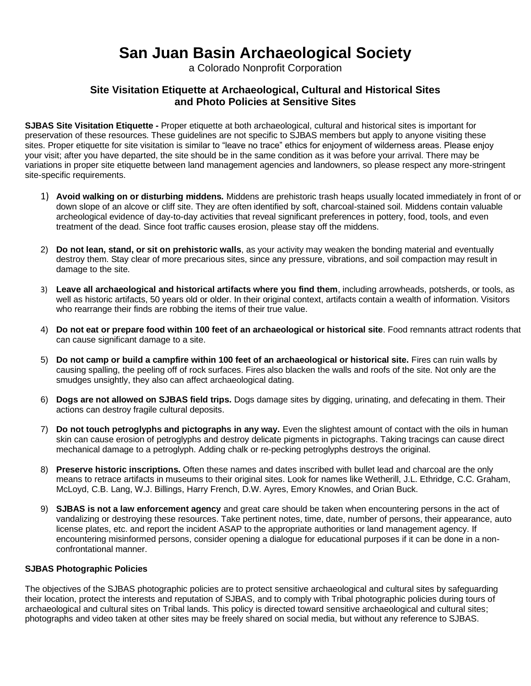## **San Juan Basin Archaeological Society**

a Colorado Nonprofit Corporation

### **Site Visitation Etiquette at Archaeological, Cultural and Historical Sites and Photo Policies at Sensitive Sites**

**SJBAS Site Visitation Etiquette -** Proper etiquette at both archaeological, cultural and historical sites is important for preservation of these resources. These guidelines are not specific to SJBAS members but apply to anyone visiting these sites. Proper etiquette for site visitation is similar to "leave no trace" ethics for enjoyment of wilderness areas. Please enjoy your visit; after you have departed, the site should be in the same condition as it was before your arrival. There may be variations in proper site etiquette between land management agencies and landowners, so please respect any more-stringent site-specific requirements.

- 1) **Avoid walking on or disturbing middens.** Middens are prehistoric trash heaps usually located immediately in front of or down slope of an alcove or cliff site. They are often identified by soft, charcoal-stained soil. Middens contain valuable archeological evidence of day-to-day activities that reveal significant preferences in pottery, food, tools, and even treatment of the dead. Since foot traffic causes erosion, please stay off the middens.
- 2) **Do not lean, stand, or sit on prehistoric walls**, as your activity may weaken the bonding material and eventually destroy them. Stay clear of more precarious sites, since any pressure, vibrations, and soil compaction may result in damage to the site.
- 3) **Leave all archaeological and historical artifacts where you find them**, including arrowheads, potsherds, or tools, as well as historic artifacts, 50 years old or older. In their original context, artifacts contain a wealth of information. Visitors who rearrange their finds are robbing the items of their true value.
- 4) **Do not eat or prepare food within 100 feet of an archaeological or historical site**. Food remnants attract rodents that can cause significant damage to a site.
- 5) **Do not camp or build a campfire within 100 feet of an archaeological or historical site.** Fires can ruin walls by causing spalling, the peeling off of rock surfaces. Fires also blacken the walls and roofs of the site. Not only are the smudges unsightly, they also can affect archaeological dating.
- 6) **Dogs are not allowed on SJBAS field trips.** Dogs damage sites by digging, urinating, and defecating in them. Their actions can destroy fragile cultural deposits.
- 7) **Do not touch petroglyphs and pictographs in any way.** Even the slightest amount of contact with the oils in human skin can cause erosion of petroglyphs and destroy delicate pigments in pictographs. Taking tracings can cause direct mechanical damage to a petroglyph. Adding chalk or re-pecking petroglyphs destroys the original.
- 8) **Preserve historic inscriptions.** Often these names and dates inscribed with bullet lead and charcoal are the only means to retrace artifacts in museums to their original sites. Look for names like Wetherill, J.L. Ethridge, C.C. Graham, McLoyd, C.B. Lang, W.J. Billings, Harry French, D.W. Ayres, Emory Knowles, and Orian Buck.
- 9) **SJBAS is not a law enforcement agency** and great care should be taken when encountering persons in the act of vandalizing or destroying these resources. Take pertinent notes, time, date, number of persons, their appearance, auto license plates, etc. and report the incident ASAP to the appropriate authorities or land management agency. If encountering misinformed persons, consider opening a dialogue for educational purposes if it can be done in a nonconfrontational manner.

#### **SJBAS Photographic Policies**

The objectives of the SJBAS photographic policies are to protect sensitive archaeological and cultural sites by safeguarding their location, protect the interests and reputation of SJBAS, and to comply with Tribal photographic policies during tours of archaeological and cultural sites on Tribal lands. This policy is directed toward sensitive archaeological and cultural sites; photographs and video taken at other sites may be freely shared on social media, but without any reference to SJBAS.